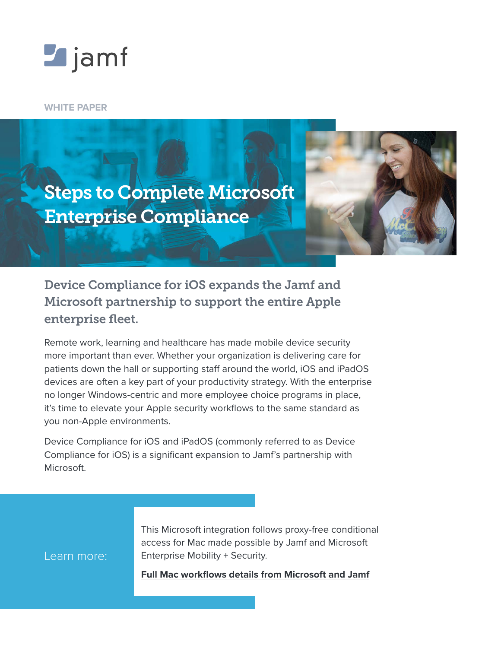

**WHITE PAPER**

Learn more:



# Device Compliance for iOS expands the Jamf and Microsoft partnership to support the entire Apple enterprise fleet.

Remote work, learning and healthcare has made mobile device security more important than ever. Whether your organization is delivering care for patients down the hall or supporting staff around the world, iOS and iPadOS devices are often a key part of your productivity strategy. With the enterprise no longer Windows-centric and more employee choice programs in place, it's time to elevate your Apple security workflows to the same standard as you non-Apple environments.

Device Compliance for iOS and iPadOS (commonly referred to as Device Compliance for iOS) is a significant expansion to Jamf's partnership with Microsoft.

> This Microsoft integration follows proxy-free conditional access for Mac made possible by Jamf and Microsoft Enterprise Mobility + Security.

**[Full Mac workflows details from Microsoft and Jamf](https://www.jamf.com/resources/white-papers/unified-ecosystem-management-delivering-a-better-enterprise-experience/?utm_source=downloadablecontent&utm_medium=pdf&utm_campaign=better-together&utm_content=2020-12-09_pro_)**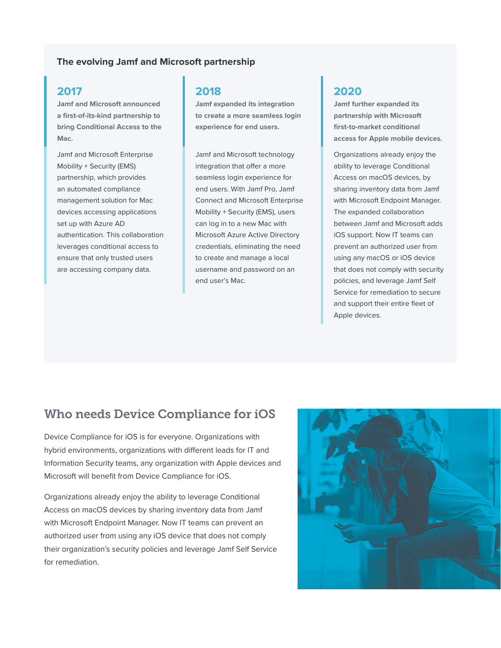#### **The evolving Jamf and Microsoft partnership**

### **2017**

**Jamf and Microsoft announced a first-of-its-kind partnership to bring Conditional Access to the Mac.**

Jamf and Microsoft Enterprise Mobility + Security (EMS) partnership, which provides an automated compliance management solution for Mac devices accessing applications set up with Azure AD authentication. This collaboration leverages conditional access to ensure that only trusted users are accessing company data.

#### **2018**

**Jamf expanded its integration to create a more seamless login experience for end users.**

Jamf and Microsoft technology integration that offer a more seamless login experience for end users. With Jamf Pro, Jamf Connect and Microsoft Enterprise Mobility + Security (EMS), users can log in to a new Mac with Microsoft Azure Active Directory credentials, eliminating the need to create and manage a local username and password on an end user's Mac.

### **2020**

**Jamf further expanded its partnership with Microsoft first-to-market conditional access for Apple mobile devices.**

Organizations already enjoy the ability to leverage Conditional Access on macOS devices, by sharing inventory data from Jamf with Microsoft Endpoint Manager. The expanded collaboration between Jamf and Microsoft adds iOS support. Now IT teams can prevent an authorized user from using any macOS or iOS device that does not comply with security policies, and leverage Jamf Self Service for remediation to secure and support their entire fleet of Apple devices.

## Who needs Device Compliance for iOS

Device Compliance for iOS is for everyone. Organizations with hybrid environments, organizations with different leads for IT and Information Security teams, any organization with Apple devices and Microsoft will benefit from Device Compliance for iOS.

Organizations already enjoy the ability to leverage Conditional Access on macOS devices by sharing inventory data from Jamf with Microsoft Endpoint Manager. Now IT teams can prevent an authorized user from using any iOS device that does not comply their organization's security policies and leverage Jamf Self Service for remediation.

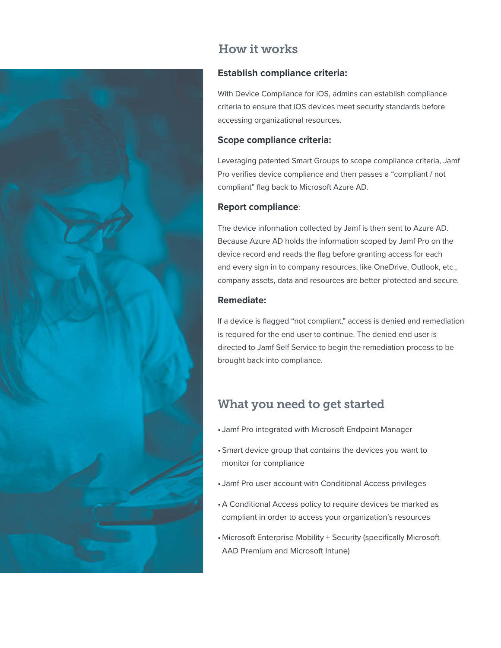

# How it works

### **Establish compliance criteria:**

With Device Compliance for iOS, admins can establish compliance criteria to ensure that iOS devices meet security standards before accessing organizational resources.

#### **Scope compliance criteria:**

Leveraging patented Smart Groups to scope compliance criteria, Jamf Pro verifies device compliance and then passes a "compliant / not compliant" flag back to Microsoft Azure AD.

#### **Report compliance**:

The device information collected by Jamf is then sent to Azure AD. Because Azure AD holds the information scoped by Jamf Pro on the device record and reads the flag before granting access for each and every sign in to company resources, like OneDrive, Outlook, etc., company assets, data and resources are better protected and secure.

#### **Remediate:**

If a device is flagged "not compliant," access is denied and remediation is required for the end user to continue. The denied end user is directed to Jamf Self Service to begin the remediation process to be brought back into compliance.

# What you need to get started

- Jamf Pro integrated with Microsoft Endpoint Manager
- Smart device group that contains the devices you want to monitor for compliance
- Jamf Pro user account with Conditional Access privileges
- A Conditional Access policy to require devices be marked as compliant in order to access your organization's resources
- Microsoft Enterprise Mobility + Security (specifically Microsoft AAD Premium and Microsoft Intune)